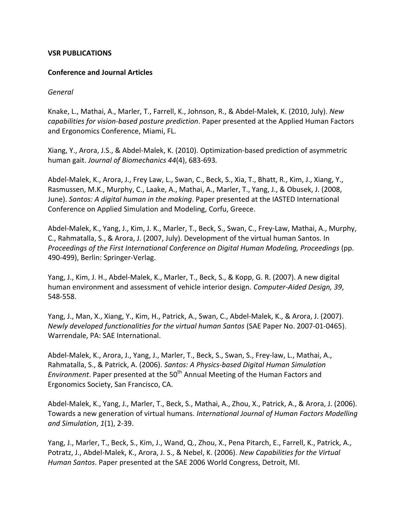#### **VSR PUBLICATIONS**

#### **Conference and Journal Articles**

#### *General*

Knake, L., Mathai, A., Marler, T., Farrell, K., Johnson, R., & Abdel-Malek, K. (2010, July). *New capabilities for vision-based posture prediction*. Paper presented at the Applied Human Factors and Ergonomics Conference, Miami, FL.

Xiang, Y., Arora, J.S., & Abdel-Malek, K. (2010). Optimization-based prediction of asymmetric human gait. *Journal of Biomechanics 44*(4), 683-693*.*

Abdel-Malek, K., Arora, J., Frey Law, L., Swan, C., Beck, S., Xia, T., Bhatt, R., Kim, J., Xiang, Y., Rasmussen, M.K., Murphy, C., Laake, A., Mathai, A., Marler, T., Yang, J., & Obusek, J. (2008, June). *Santos: A digital human in the making*. Paper presented at the IASTED International Conference on Applied Simulation and Modeling, Corfu, Greece.

Abdel-Malek, K., Yang, J., Kim, J. K., Marler, T., Beck, S., Swan, C., Frey-Law, Mathai, A., Murphy, C., Rahmatalla, S., & Arora, J. (2007, July). Development of the virtual human Santos. In *Proceedings of the First International Conference on Digital Human Modeling, Proceedings* (pp. 490-499), Berlin: Springer-Verlag.

Yang, J., Kim, J. H., Abdel-Malek, K., Marler, T., Beck, S., & Kopp, G. R. (2007). A new digital human environment and assessment of vehicle interior design. *Computer-Aided Design, 39,* 548-558.

Yang, J., Man, X., Xiang, Y., Kim, H., Patrick, A., Swan, C., Abdel-Malek, K., & Arora, J. (2007). *Newly developed functionalities for the virtual human Santos* (SAE Paper No. 2007-01-0465). Warrendale, PA: SAE International.

Abdel-Malek, K., Arora, J., Yang, J., Marler, T., Beck, S., Swan, S., Frey-law, L., Mathai, A., Rahmatalla, S., & Patrick, A. (2006). *Santos: A Physics-based Digital Human Simulation Environment*. Paper presented at the 50<sup>th</sup> Annual Meeting of the Human Factors and Ergonomics Society, San Francisco, CA.

Abdel-Malek, K., Yang, J., Marler, T., Beck, S., Mathai, A., Zhou, X., Patrick, A., & Arora, J. (2006). Towards a new generation of virtual humans. *International Journal of Human Factors Modelling and Simulation*, *1*(1), 2-39.

Yang, J., Marler, T., Beck, S., Kim, J., Wand, Q., Zhou, X., Pena Pitarch, E., Farrell, K., Patrick, A., Potratz, J., Abdel-Malek, K., Arora, J. S., & Nebel, K. (2006). *New Capabilities for the Virtual Human Santos*. Paper presented at the SAE 2006 World Congress, Detroit, MI.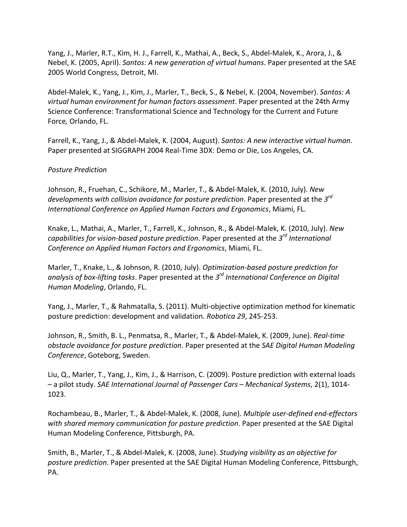Yang, J., Marler, R.T., Kim, H. J., Farrell, K., Mathai, A., Beck, S., Abdel-Malek, K., Arora, J., & Nebel, K. (2005, April). *Santos: A new generation of virtual humans*. Paper presented at the SAE 2005 World Congress, Detroit, MI.

Abdel-Malek, K., Yang, J., Kim, J., Marler, T., Beck, S., & Nebel, K. (2004, November). *Santos: A virtual human environment for human factors assessment*. Paper presented at the 24th Army Science Conference: Transformational Science and Technology for the Current and Future Force, Orlando, FL.

Farrell, K., Yang, J., & Abdel-Malek, K. (2004, August). *Santos: A new interactive virtual human*. Paper presented at SIGGRAPH 2004 Real-Time 3DX: Demo or Die, Los Angeles, CA.

### *Posture Prediction*

Johnson, R., Fruehan, C., Schikore, M., Marler, T., & Abdel-Malek, K. (2010, July). New developments with collision avoidance for posture prediction. Paper presented at the 3<sup>rd</sup> *International Conference on Applied Human Factors and Ergonomics, Miami, FL.* 

Knake, L., Mathai, A., Marler, T., Farrell, K., Johnson, R., & Abdel-Malek, K. (2010, July). New *capabilities for vision-based posture prediction.* Paper presented at the 3<sup>rd</sup> International *Conference on Applied Human Factors and Ergonomics, Miami, FL.* 

Marler, T., Knake, L., & Johnson, R. (2010, July). *Optimization-based posture prediction for analysis of box-lifting tasks.* Paper presented at the 3<sup>rd</sup> International Conference on Digital *Human Modeling*, Orlando, FL.

Yang, J., Marler, T., & Rahmatalla, S. (2011). Multi-objective optimization method for kinematic posture prediction: development and validation. *Robotica 29*, 245-253.

Johnson, R., Smith, B. L., Penmatsa, R., Marler, T., & Abdel-Malek, K. (2009, June). *Real-time obstacle avoidance for posture prediction.* Paper presented at the *SAE Digital Human Modeling Conference*, Goteborg, Sweden.

Liu, Q., Marler, T., Yang, J., Kim, J., & Harrison, C. (2009). Posture prediction with external loads – a pilot study. *SAE International Journal of Passenger Cars – Mechanical Systems*, 2(1), 1014- 1023.

Rochambeau, B., Marler, T., & Abdel-Malek, K. (2008, June). *Multiple user-defined end-effectors* with shared memory communication for posture prediction. Paper presented at the SAE Digital Human Modeling Conference, Pittsburgh, PA.

Smith, B., Marler, T., & Abdel-Malek, K. (2008, June). *Studying visibility as an objective for* posture prediction. Paper presented at the SAE Digital Human Modeling Conference, Pittsburgh, PA.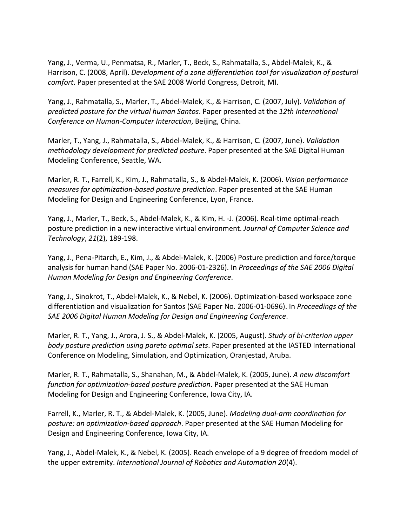Yang, J., Verma, U., Penmatsa, R., Marler, T., Beck, S., Rahmatalla, S., Abdel-Malek, K., & Harrison, C. (2008, April). *Development of a zone differentiation tool for visualization of postural comfort*. Paper presented at the SAE 2008 World Congress, Detroit, MI.

Yang, J., Rahmatalla, S., Marler, T., Abdel-Malek, K., & Harrison, C. (2007, July). *Validation of predicted posture for the virtual human Santos.* Paper presented at the 12th International *Conference on Human-Computer Interaction*, Beijing, China.

Marler, T., Yang, J., Rahmatalla, S., Abdel-Malek, K., & Harrison, C. (2007, June). *Validation methodology development for predicted posture*. Paper presented at the SAE Digital Human Modeling Conference, Seattle, WA.

Marler, R. T., Farrell, K., Kim, J., Rahmatalla, S., & Abdel-Malek, K. (2006). *Vision performance measures for optimization-based posture prediction*. Paper presented at the SAE Human Modeling for Design and Engineering Conference, Lyon, France.

Yang, J., Marler, T., Beck, S., Abdel-Malek, K., & Kim, H. -J. (2006). Real-time optimal-reach posture prediction in a new interactive virtual environment. *Journal of Computer Science and Technology*, *21*(2), 189-198.

Yang, J., Pena-Pitarch, E., Kim, J., & Abdel-Malek, K. (2006) Posture prediction and force/torque analysis for human hand (SAE Paper No. 2006-01-2326). In *Proceedings of the SAE 2006 Digital Human Modeling for Design and Engineering Conference*.

Yang, J., Sinokrot, T., Abdel-Malek, K., & Nebel, K. (2006). Optimization-based workspace zone differentiation and visualization for Santos (SAE Paper No. 2006-01-0696). In *Proceedings of the* SAE 2006 Digital Human Modeling for Design and Engineering Conference.

Marler, R. T., Yang, J., Arora, J. S., & Abdel-Malek, K. (2005, August). *Study of bi-criterion upper body posture prediction using pareto optimal sets.* Paper presented at the IASTED International Conference on Modeling, Simulation, and Optimization, Oranjestad, Aruba.

Marler, R. T., Rahmatalla, S., Shanahan, M., & Abdel-Malek, K. (2005, June). *A new discomfort function for optimization-based posture prediction*. Paper presented at the SAE Human Modeling for Design and Engineering Conference, Iowa City, IA.

Farrell, K., Marler, R. T., & Abdel-Malek, K. (2005, June). *Modeling dual-arm coordination for posture: an optimization-based approach.* Paper presented at the SAE Human Modeling for Design and Engineering Conference, Iowa City, IA.

Yang, J., Abdel-Malek, K., & Nebel, K. (2005). Reach envelope of a 9 degree of freedom model of the upper extremity. *International Journal of Robotics and Automation 20*(4).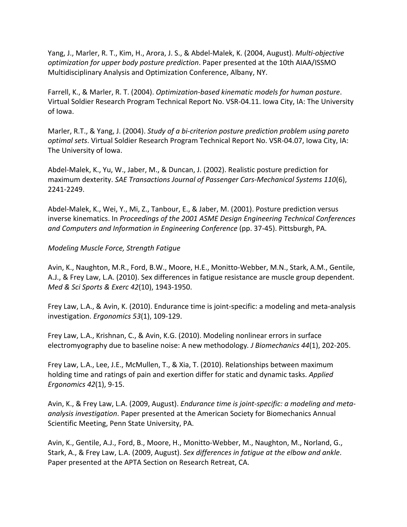Yang, J., Marler, R. T., Kim, H., Arora, J. S., & Abdel-Malek, K. (2004, August). *Multi-objective optimization for upper body posture prediction*. Paper presented at the 10th AIAA/ISSMO Multidisciplinary Analysis and Optimization Conference, Albany, NY.

Farrell, K., & Marler, R. T. (2004). *Optimization-based kinematic models for human posture*. Virtual Soldier Research Program Technical Report No. VSR-04.11. Iowa City, IA: The University of Iowa.

Marler, R.T., & Yang, J. (2004). *Study of a bi-criterion posture prediction problem using pareto optimal sets*. Virtual Soldier Research Program Technical Report No. VSR-04.07, Iowa City, IA: The University of Iowa.

Abdel-Malek, K., Yu, W., Jaber, M., & Duncan, J. (2002). Realistic posture prediction for maximum dexterity. *SAE Transactions Journal of Passenger Cars-Mechanical Systems 110(6)*, 2241-2249.

Abdel-Malek, K., Wei, Y., Mi, Z., Tanbour, E., & Jaber, M. (2001). Posture prediction versus inverse kinematics. In *Proceedings of the 2001 ASME Design Engineering Technical Conferences and Computers and Information in Engineering Conference* (pp. 37-45). Pittsburgh, PA.

## *Modeling Muscle Force, Strength Fatigue*

Avin, K., Naughton, M.R., Ford, B.W., Moore, H.E., Monitto-Webber, M.N., Stark, A.M., Gentile, A.J., & Frey Law, L.A. (2010). Sex differences in fatigue resistance are muscle group dependent. *Med & Sci Sports & Exerc 42(10), 1943-1950.* 

Frey Law, L.A., & Avin, K. (2010). Endurance time is joint-specific: a modeling and meta-analysis investigation. *Ergonomics 53*(1), 109-129. 

Frey Law, L.A., Krishnan, C., & Avin, K.G. (2010). Modeling nonlinear errors in surface electromyography due to baseline noise: A new methodology. *J Biomechanics 44*(1), 202-205.

Frey Law, L.A., Lee, J.E., McMullen, T., & Xia, T. (2010). Relationships between maximum holding time and ratings of pain and exertion differ for static and dynamic tasks. *Applied Ergonomics 42*(1), 9-15.

Avin, K., & Frey Law, L.A. (2009, August). *Endurance time is joint-specific: a modeling and meta*analysis investigation. Paper presented at the American Society for Biomechanics Annual Scientific Meeting, Penn State University, PA.

Avin, K., Gentile, A.J., Ford, B., Moore, H., Monitto-Webber, M., Naughton, M., Norland, G., Stark, A., & Frey Law, L.A. (2009, August). Sex differences in fatigue at the elbow and ankle. Paper presented at the APTA Section on Research Retreat, CA.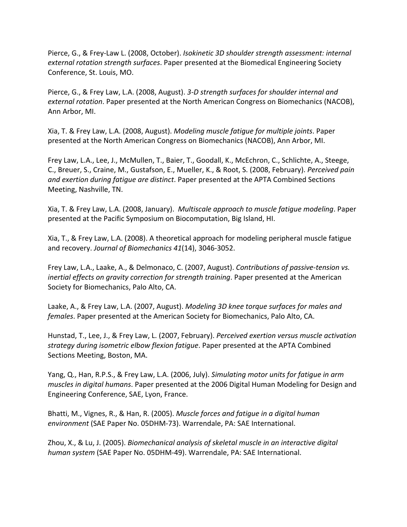Pierce, G., & Frey-Law L. (2008, October). *Isokinetic 3D shoulder strength assessment: internal* external rotation strength surfaces. Paper presented at the Biomedical Engineering Society Conference, St. Louis, MO.

Pierce, G., & Frey Law, L.A. (2008, August). 3-D strength surfaces for shoulder internal and *external rotation*. Paper presented at the North American Congress on Biomechanics (NACOB), Ann Arbor, MI.

Xia, T. & Frey Law, L.A. (2008, August). *Modeling muscle fatigue for multiple joints*. Paper presented at the North American Congress on Biomechanics (NACOB), Ann Arbor, MI.

Frey Law, L.A., Lee, J., McMullen, T., Baier, T., Goodall, K., McEchron, C., Schlichte, A., Steege, C., Breuer, S., Craine, M., Gustafson, E., Mueller, K., & Root, S. (2008, February). *Perceived pain and exertion during fatigue are distinct*. Paper presented at the APTA Combined Sections Meeting, Nashville, TN.

Xia, T. & Frey Law, L.A. (2008, January). *Multiscale approach to muscle fatigue modeling*. Paper presented at the Pacific Symposium on Biocomputation, Big Island, HI.

Xia, T., & Frey Law, L.A. (2008). A theoretical approach for modeling peripheral muscle fatigue and recovery. Journal of Biomechanics 41(14), 3046-3052.

Frey Law, L.A., Laake, A., & Delmonaco, C. (2007, August). Contributions of passive-tension vs. *inertial effects on gravity correction for strength training*. Paper presented at the American Society for Biomechanics, Palo Alto, CA.

Laake, A., & Frey Law, L.A. (2007, August). *Modeling 3D knee torque surfaces for males and females*. Paper presented at the American Society for Biomechanics, Palo Alto, CA.

Hunstad, T., Lee, J., & Frey Law, L. (2007, February). *Perceived exertion versus muscle activation strategy during isometric elbow flexion fatigue*. Paper presented at the APTA Combined Sections Meeting, Boston, MA.

Yang, Q., Han, R.P.S., & Frey Law, L.A. (2006, July). Simulating motor units for fatigue in arm *muscles in digital humans*. Paper presented at the 2006 Digital Human Modeling for Design and Engineering Conference, SAE, Lyon, France.

Bhatti, M., Vignes, R., & Han, R. (2005). *Muscle forces and fatigue in a digital human environment* (SAE Paper No. 05DHM-73). Warrendale, PA: SAE International.

Zhou, X., & Lu, J. (2005). *Biomechanical analysis of skeletal muscle in an interactive digital human system* (SAE Paper No. 05DHM-49). Warrendale, PA: SAE International.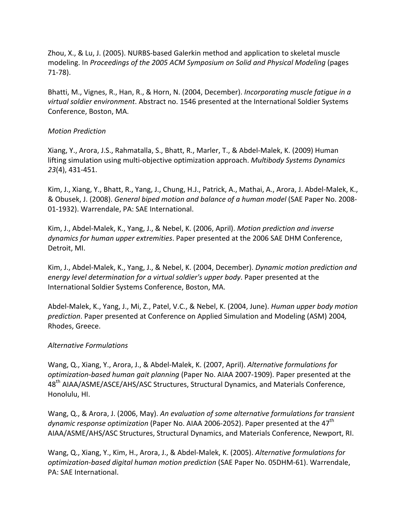Zhou, X., & Lu, J. (2005). NURBS-based Galerkin method and application to skeletal muscle modeling. In *Proceedings of the 2005 ACM Symposium on Solid and Physical Modeling* (pages 71-78).

Bhatti, M., Vignes, R., Han, R., & Horn, N. (2004, December). *Incorporating muscle fatique in a* virtual soldier environment. Abstract no. 1546 presented at the International Soldier Systems Conference, Boston, MA.

## *Motion Prediction*

Xiang, Y., Arora, J.S., Rahmatalla, S., Bhatt, R., Marler, T., & Abdel-Malek, K. (2009) Human lifting simulation using multi-objective optimization approach. *Multibody Systems Dynamics 23*(4), 431-451.

Kim, J., Xiang, Y., Bhatt, R., Yang, J., Chung, H.J., Patrick, A., Mathai, A., Arora, J. Abdel-Malek, K., & Obusek, J. (2008). *General biped motion and balance of a human model* (SAE Paper No. 2008-01-1932). Warrendale, PA: SAE International.

Kim, J., Abdel-Malek, K., Yang, J., & Nebel, K. (2006, April). *Motion prediction and inverse dynamics for human upper extremities*. Paper presented at the 2006 SAE DHM Conference, Detroit, MI.

Kim, J., Abdel-Malek, K., Yang, J., & Nebel, K. (2004, December). *Dynamic motion prediction and energy level determination for a virtual soldier's upper body.* Paper presented at the International Soldier Systems Conference, Boston, MA.

Abdel-Malek, K., Yang, J., Mi, Z., Patel, V.C., & Nebel, K. (2004, June). *Human upper body motion prediction*. Paper presented at Conference on Applied Simulation and Modeling (ASM) 2004*,* Rhodes, Greece.

### *Alternative Formulations*

Wang, Q., Xiang, Y., Arora, J., & Abdel-Malek, K. (2007, April). *Alternative formulations for optimization-based human gait planning* (Paper No. AIAA 2007-1909). Paper presented at the 48<sup>th</sup> AIAA/ASME/ASCE/AHS/ASC Structures, Structural Dynamics, and Materials Conference, Honolulu, HI.

Wang, Q., & Arora, J. (2006, May). An evaluation of some alternative formulations for transient *dynamic response optimization* (Paper No. AIAA 2006-2052). Paper presented at the 47<sup>th</sup> AIAA/ASME/AHS/ASC Structures, Structural Dynamics, and Materials Conference, Newport, RI.

Wang, Q., Xiang, Y., Kim, H., Arora, J., & Abdel-Malek, K. (2005). *Alternative formulations for optimization-based digital human motion prediction* (SAE Paper No. 05DHM-61). Warrendale, PA: SAE International.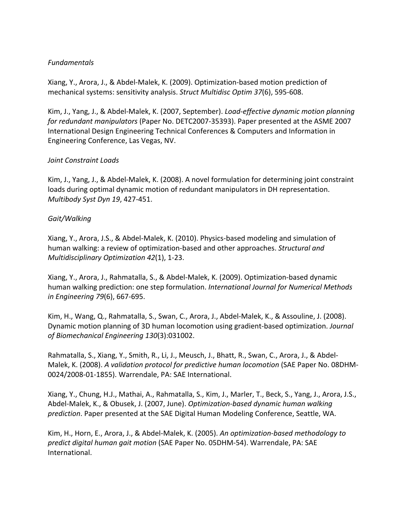## *Fundamentals*

Xiang, Y., Arora, J., & Abdel-Malek, K. (2009). Optimization-based motion prediction of mechanical systems: sensitivity analysis. *Struct Multidisc Optim 37*(6), 595-608.

Kim, J., Yang, J., & Abdel-Malek, K. (2007, September). *Load-effective dynamic motion planning for redundant manipulators* (Paper No. DETC2007-35393). Paper presented at the ASME 2007 International Design Engineering Technical Conferences & Computers and Information in Engineering Conference, Las Vegas, NV.

## *Joint Constraint Loads*

Kim, J., Yang, J., & Abdel-Malek, K. (2008). A novel formulation for determining joint constraint loads during optimal dynamic motion of redundant manipulators in DH representation. *Multibody Syst Dyn 19*, 427-451.

## *Gait/Walking*

Xiang, Y., Arora, J.S., & Abdel-Malek, K. (2010). Physics-based modeling and simulation of human walking: a review of optimization-based and other approaches. *Structural and Multidisciplinary Optimization 42*(1), 1-23.

Xiang, Y., Arora, J., Rahmatalla, S., & Abdel-Malek, K. (2009). Optimization-based dynamic human walking prediction: one step formulation. *International Journal for Numerical Methods in Engineering 79*(6), 667-695.

Kim, H., Wang, Q., Rahmatalla, S., Swan, C., Arora, J., Abdel-Malek, K., & Assouline, J. (2008). Dynamic motion planning of 3D human locomotion using gradient-based optimization. *Journal of Biomechanical Engineering 130*(3):031002.

Rahmatalla, S., Xiang, Y., Smith, R., Li, J., Meusch, J., Bhatt, R., Swan, C., Arora, J., & Abdel-Malek, K. (2008). A validation protocol for predictive human locomotion (SAE Paper No. 08DHM-0024/2008-01-1855). Warrendale, PA: SAE International.

Xiang, Y., Chung, H.J., Mathai, A., Rahmatalla, S., Kim, J., Marler, T., Beck, S., Yang, J., Arora, J.S., Abdel-Malek, K., & Obusek, J. (2007, June). *Optimization-based dynamic human walking* prediction. Paper presented at the SAE Digital Human Modeling Conference, Seattle, WA.

Kim, H., Horn, E., Arora, J., & Abdel-Malek, K. (2005). An optimization-based methodology to *predict digital human gait motion* (SAE Paper No. 05DHM-54). Warrendale, PA: SAE International.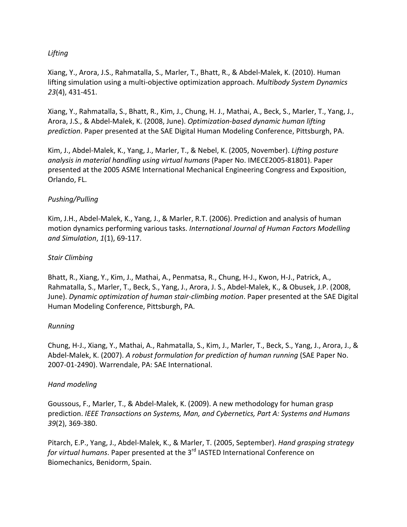## *Lifting*

Xiang, Y., Arora, J.S., Rahmatalla, S., Marler, T., Bhatt, R., & Abdel-Malek, K. (2010). Human lifting simulation using a multi-objective optimization approach. *Multibody System Dynamics 23*(4), 431-451.

Xiang, Y., Rahmatalla, S., Bhatt, R., Kim, J., Chung, H. J., Mathai, A., Beck, S., Marler, T., Yang, J., Arora, J.S., & Abdel-Malek, K. (2008, June). *Optimization-based dynamic human lifting prediction*. Paper presented at the SAE Digital Human Modeling Conference, Pittsburgh, PA.

Kim, J., Abdel-Malek, K., Yang, J., Marler, T., & Nebel, K. (2005, November). *Lifting posture analysis in material handling using virtual humans* (Paper No. IMECE2005-81801). Paper presented at the 2005 ASME International Mechanical Engineering Congress and Exposition, Orlando, FL.

## *Pushing/Pulling*

Kim, J.H., Abdel-Malek, K., Yang, J., & Marler, R.T. (2006). Prediction and analysis of human motion dynamics performing various tasks. *International Journal of Human Factors Modelling and Simulation*, *1*(1), 69-117.

### *Stair Climbing*

Bhatt, R., Xiang, Y., Kim, J., Mathai, A., Penmatsa, R., Chung, H-J., Kwon, H-J., Patrick, A., Rahmatalla, S., Marler, T., Beck, S., Yang, J., Arora, J. S., Abdel-Malek, K., & Obusek, J.P. (2008, June). *Dynamic optimization of human stair-climbing motion*. Paper presented at the SAE Digital Human Modeling Conference, Pittsburgh, PA.

### *Running*

Chung, H-J., Xiang, Y., Mathai, A., Rahmatalla, S., Kim, J., Marler, T., Beck, S., Yang, J., Arora, J., & Abdel-Malek, K. (2007). *A robust formulation for prediction of human running* (SAE Paper No. 2007-01-2490). Warrendale, PA: SAE International.

### *Hand modeling*

Goussous, F., Marler, T., & Abdel-Malek, K. (2009). A new methodology for human grasp prediction. *IEEE Transactions on Systems, Man, and Cybernetics, Part A: Systems and Humans 39*(2), 369-380.

Pitarch, E.P., Yang, J., Abdel-Malek, K., & Marler, T. (2005, September). *Hand grasping strategy for virtual humans*. Paper presented at the 3<sup>rd</sup> IASTED International Conference on Biomechanics, Benidorm, Spain.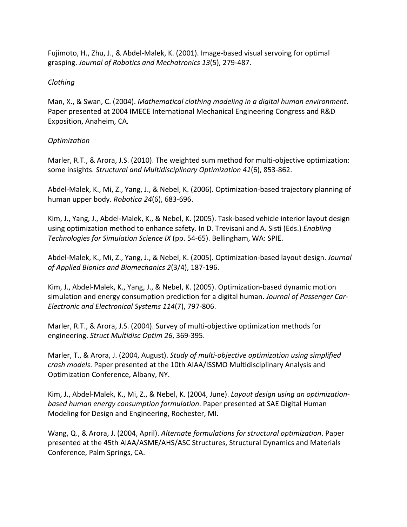Fujimoto, H., Zhu, J., & Abdel-Malek, K. (2001). Image-based visual servoing for optimal grasping. *Journal of Robotics and Mechatronics 13*(5), 279-487.

## *Clothing*

Man, X., & Swan, C. (2004). *Mathematical clothing modeling in a digital human environment*. Paper presented at 2004 IMECE International Mechanical Engineering Congress and R&D Exposition, Anaheim, CA.

# *Optimization*

Marler, R.T., & Arora, J.S. (2010). The weighted sum method for multi-objective optimization: some insights. *Structural and Multidisciplinary Optimization* 41(6), 853-862.

Abdel-Malek, K., Mi, Z., Yang, J., & Nebel, K. (2006). Optimization-based trajectory planning of human upper body. *Robotica 24*(6), 683-696.

Kim, J., Yang, J., Abdel-Malek, K., & Nebel, K. (2005). Task-based vehicle interior layout design using optimization method to enhance safety. In D. Trevisani and A. Sisti (Eds.) *Enabling Technologies for Simulation Science IX* (pp. 54-65). Bellingham, WA: SPIE.

Abdel-Malek, K., Mi, Z., Yang, J., & Nebel, K. (2005). Optimization-based layout design. *Journal of Applied Bionics and Biomechanics 2*(3/4), 187-196.

Kim, J., Abdel-Malek, K., Yang, J., & Nebel, K. (2005). Optimization-based dynamic motion simulation and energy consumption prediction for a digital human. *Journal of Passenger Car-Electronic and Electronical Systems 114*(7), 797-806.

Marler, R.T., & Arora, J.S. (2004). Survey of multi-objective optimization methods for engineering. *Struct Multidisc Optim 26*, 369-395.

Marler, T., & Arora, J. (2004, August). *Study of multi-objective optimization using simplified crash models*. Paper presented at the 10th AIAA/ISSMO Multidisciplinary Analysis and Optimization Conference, Albany, NY.

Kim, J., Abdel-Malek, K., Mi, Z., & Nebel, K. (2004, June). *Layout design using an optimizationbased human energy consumption formulation*. Paper presented at SAE Digital Human Modeling for Design and Engineering, Rochester, MI.

Wang, Q., & Arora, J. (2004, April). Alternate formulations for structural optimization. Paper presented at the 45th AIAA/ASME/AHS/ASC Structures, Structural Dynamics and Materials Conference, Palm Springs, CA.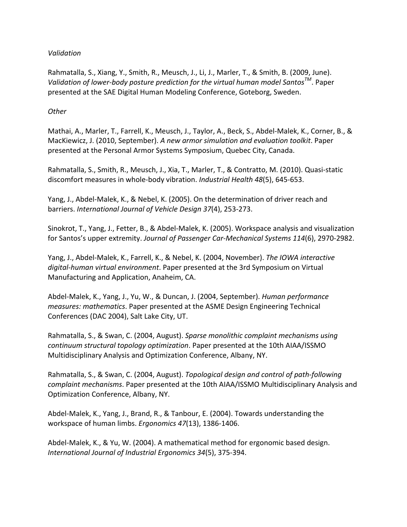## *Validation*

Rahmatalla, S., Xiang, Y., Smith, R., Meusch, J., Li, J., Marler, T., & Smith, B. (2009, June). *Validation of lower-body posture prediction for the virtual human model Santos*<sup>TM</sup>. Paper presented at the SAE Digital Human Modeling Conference, Goteborg, Sweden.

### *Other*

Mathai, A., Marler, T., Farrell, K., Meusch, J., Taylor, A., Beck, S., Abdel-Malek, K., Corner, B., & MacKiewicz, J. (2010, September). A new armor simulation and evaluation toolkit. Paper presented at the Personal Armor Systems Symposium, Quebec City, Canada.

Rahmatalla, S., Smith, R., Meusch, J., Xia, T., Marler, T., & Contratto, M. (2010). Quasi-static discomfort measures in whole-body vibration. *Industrial Health 48*(5), 645-653.

Yang, J., Abdel-Malek, K., & Nebel, K. (2005). On the determination of driver reach and barriers. *International Journal of Vehicle Design 37*(4), 253-273.

Sinokrot, T., Yang, J., Fetter, B., & Abdel-Malek, K. (2005). Workspace analysis and visualization for Santos's upper extremity. *Journal of Passenger Car-Mechanical Systems* 114(6), 2970-2982.

Yang, J., Abdel-Malek, K., Farrell, K., & Nebel, K. (2004, November). *The IOWA interactive* digital-human virtual environment. Paper presented at the 3rd Symposium on Virtual Manufacturing and Application, Anaheim, CA.

Abdel-Malek, K., Yang, J., Yu, W., & Duncan, J. (2004, September). *Human performance measures: mathematics.* Paper presented at the ASME Design Engineering Technical Conferences (DAC 2004), Salt Lake City, UT.

Rahmatalla, S., & Swan, C. (2004, August). *Sparse monolithic complaint mechanisms using continuum structural topology optimization*. Paper presented at the 10th AIAA/ISSMO Multidisciplinary Analysis and Optimization Conference, Albany, NY.

Rahmatalla, S., & Swan, C. (2004, August). *Topological design and control of path-following complaint mechanisms*. Paper presented at the 10th AIAA/ISSMO Multidisciplinary Analysis and Optimization Conference, Albany, NY.

Abdel-Malek, K., Yang, J., Brand, R., & Tanbour, E. (2004). Towards understanding the workspace of human limbs. *Ergonomics 47*(13), 1386-1406.

Abdel-Malek, K., & Yu, W. (2004). A mathematical method for ergonomic based design. *International Journal of Industrial Ergonomics 34*(5), 375-394.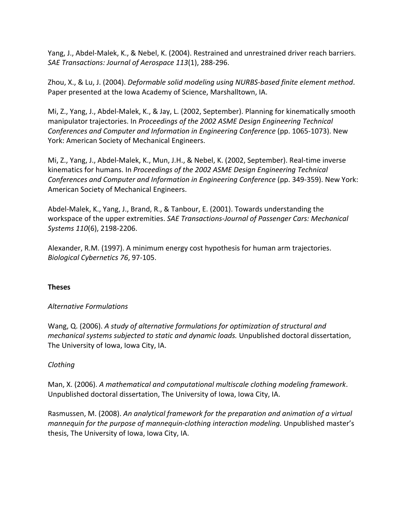Yang, J., Abdel-Malek, K., & Nebel, K. (2004). Restrained and unrestrained driver reach barriers. *SAE Transactions: Journal of Aerospace 113*(1), 288-296.

Zhou, X., & Lu, J. (2004). *Deformable solid modeling using NURBS-based finite element method.* Paper presented at the Iowa Academy of Science, Marshalltown, IA.

Mi, Z., Yang, J., Abdel-Malek, K., & Jay, L. (2002, September). Planning for kinematically smooth manipulator trajectories. In *Proceedings of the 2002 ASME Design Engineering Technical Conferences and Computer and Information in Engineering Conference* (pp. 1065-1073). New York: American Society of Mechanical Engineers.

Mi, Z., Yang, J., Abdel-Malek, K., Mun, J.H., & Nebel, K. (2002, September). Real-time inverse kinematics for humans. In *Proceedings of the 2002 ASME Design Engineering Technical Conferences and Computer and Information in Engineering Conference* (pp. 349-359). New York: American Society of Mechanical Engineers.

Abdel-Malek, K., Yang, J., Brand, R., & Tanbour, E. (2001). Towards understanding the workspace of the upper extremities. SAE Transactions-Journal of Passenger Cars: Mechanical *Systems 110*(6), 2198-2206.

Alexander, R.M. (1997). A minimum energy cost hypothesis for human arm trajectories. *Biological Cybernetics 76*, 97-105.

## **Theses**

## *Alternative Formulations*

Wang, Q. (2006). A study of alternative formulations for optimization of structural and *mechanical systems subjected to static and dynamic loads.* Unpublished doctoral dissertation, The University of Iowa, Iowa City, IA.

## *Clothing*

Man, X. (2006). A mathematical and computational multiscale clothing modeling framework. Unpublished doctoral dissertation, The University of Iowa, Iowa City, IA.

Rasmussen, M. (2008). An analytical framework for the preparation and animation of a virtual *mannequin for the purpose of mannequin-clothing interaction modeling.* Unpublished master's thesis, The University of Iowa, Iowa City, IA.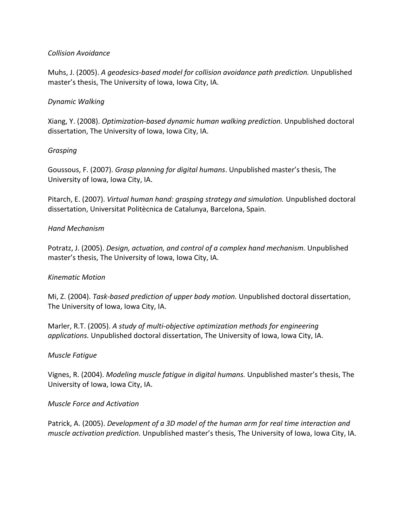## *Collision Avoidance*

Muhs, J. (2005). *A geodesics-based model for collision avoidance path prediction*. Unpublished master's thesis, The University of Iowa, Iowa City, IA.

## *Dynamic Walking*

Xiang, Y. (2008). *Optimization-based dynamic human walking prediction*. Unpublished doctoral dissertation, The University of Iowa, Iowa City, IA.

### *Grasping*

Goussous, F. (2007). *Grasp planning for digital humans*. Unpublished master's thesis, The University of Iowa, Iowa City, IA.

Pitarch, E. (2007). *Virtual human hand: grasping strategy and simulation.* Unpublished doctoral dissertation, Universitat Politècnica de Catalunya, Barcelona, Spain.

## *Hand Mechanism*

Potratz, J. (2005). *Design, actuation, and control of a complex hand mechanism.* Unpublished master's thesis, The University of Iowa, Iowa City, IA.

### *Kinematic Motion*

Mi, Z. (2004). *Task-based prediction of upper body motion.* Unpublished doctoral dissertation, The University of Iowa, Iowa City, IA.

Marler, R.T. (2005). A study of multi-objective optimization methods for engineering *applications.* Unpublished doctoral dissertation, The University of Iowa, Iowa City, IA.

### *Muscle Fatigue*

Vignes, R. (2004). *Modeling muscle fatigue in digital humans*. Unpublished master's thesis, The University of Iowa, Iowa City, IA.

### *Muscle Force and Activation*

Patrick, A. (2005). *Development of a 3D model of the human arm for real time interaction and muscle activation prediction.* Unpublished master's thesis, The University of Iowa, Iowa City, IA.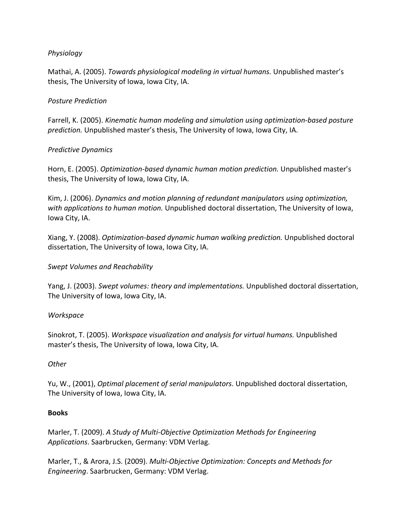## *Physiology*

Mathai, A. (2005). *Towards physiological modeling in virtual humans.* Unpublished master's thesis, The University of Iowa, Iowa City, IA.

## *Posture Prediction*

Farrell, K. (2005). *Kinematic human modeling and simulation using optimization-based posture prediction.* Unpublished master's thesis, The University of Iowa, Iowa City, IA.

## *Predictive Dynamics*

Horn, E. (2005). *Optimization-based dynamic human motion prediction*. Unpublished master's thesis, The University of Iowa, Iowa City, IA.

Kim, J. (2006). *Dynamics and motion planning of redundant manipulators using optimization,* with applications to human motion. Unpublished doctoral dissertation, The University of Iowa, lowa City, IA.

Xiang, Y. (2008). *Optimization-based dynamic human walking prediction*. Unpublished doctoral dissertation, The University of Iowa, Iowa City, IA.

### *Swept Volumes and Reachability*

Yang, J. (2003). *Swept volumes: theory and implementations*. Unpublished doctoral dissertation, The University of Iowa, Iowa City, IA.

### *Workspace*

Sinokrot, T. (2005). *Workspace visualization and analysis for virtual humans.* Unpublished master's thesis, The University of Iowa, Iowa City, IA.

### *Other*

Yu, W., (2001), *Optimal placement of serial manipulators*. Unpublished doctoral dissertation, The University of Iowa, Iowa City, IA.

### **Books**

Marler, T. (2009). A Study of Multi-Objective Optimization Methods for Engineering Applications. Saarbrucken, Germany: VDM Verlag.

Marler, T., & Arora, J.S. (2009). *Multi-Objective Optimization: Concepts and Methods for Engineering*. Saarbrucken, Germany: VDM Verlag.